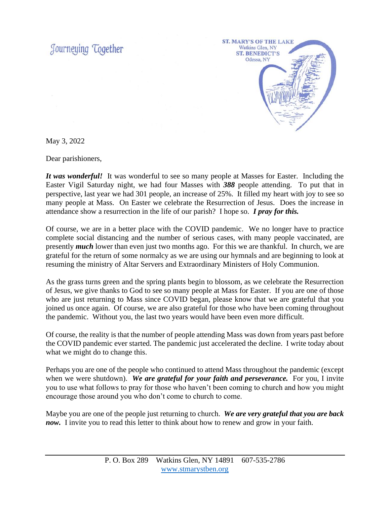Journeying Together



May 3, 2022

Dear parishioners,

*It was wonderful!* It was wonderful to see so many people at Masses for Easter. Including the Easter Vigil Saturday night, we had four Masses with *388* people attending. To put that in perspective, last year we had 301 people, an increase of 25%. It filled my heart with joy to see so many people at Mass. On Easter we celebrate the Resurrection of Jesus. Does the increase in attendance show a resurrection in the life of our parish? I hope so. *I pray for this.*

Of course, we are in a better place with the COVID pandemic. We no longer have to practice complete social distancing and the number of serious cases, with many people vaccinated, are presently *much* lower than even just two months ago. For this we are thankful. In church, we are grateful for the return of some normalcy as we are using our hymnals and are beginning to look at resuming the ministry of Altar Servers and Extraordinary Ministers of Holy Communion.

As the grass turns green and the spring plants begin to blossom, as we celebrate the Resurrection of Jesus, we give thanks to God to see so many people at Mass for Easter. If you are one of those who are just returning to Mass since COVID began, please know that we are grateful that you joined us once again. Of course, we are also grateful for those who have been coming throughout the pandemic. Without you, the last two years would have been even more difficult.

Of course, the reality is that the number of people attending Mass was down from years past before the COVID pandemic ever started. The pandemic just accelerated the decline. I write today about what we might do to change this.

Perhaps you are one of the people who continued to attend Mass throughout the pandemic (except when we were shutdown). We are grateful for your faith and perseverance. For you, I invite you to use what follows to pray for those who haven't been coming to church and how you might encourage those around you who don't come to church to come.

Maybe you are one of the people just returning to church. *We are very grateful that you are back now.* I invite you to read this letter to think about how to renew and grow in your faith.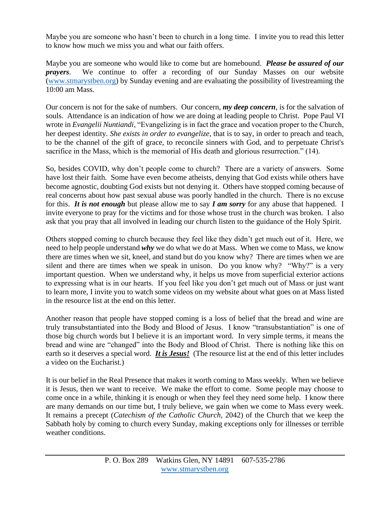Maybe you are someone who hasn't been to church in a long time. I invite you to read this letter to know how much we miss you and what our faith offers.

Maybe you are someone who would like to come but are homebound. *Please be assured of our prayers*. We continue to offer a recording of our Sunday Masses on our website [\(www.stmarystben.org\)](http://www.stmarystben.org/) by Sunday evening and are evaluating the possibility of livestreaming the 10:00 am Mass.

Our concern is not for the sake of numbers. Our concern, *my deep concern*, is for the salvation of souls. Attendance is an indication of how we are doing at leading people to Christ. Pope Paul VI wrote in *Evangelii Nuntiandi*, "Evangelizing is in fact the grace and vocation proper to the Church, her deepest identity. *She exists in order to evangelize*, that is to say, in order to preach and teach, to be the channel of the gift of grace, to reconcile sinners with God, and to perpetuate Christ's sacrifice in the Mass, which is the memorial of His death and glorious resurrection." (14).

So, besides COVID, why don't people come to church? There are a variety of answers. Some have lost their faith. Some have even become atheists, denying that God exists while others have become agnostic, doubting God exists but not denying it. Others have stopped coming because of real concerns about how past sexual abuse was poorly handled in the church. There is no excuse for this. *It is not enough* but please allow me to say *I am sorry* for any abuse that happened. I invite everyone to pray for the victims and for those whose trust in the church was broken. I also ask that you pray that all involved in leading our church listen to the guidance of the Holy Spirit.

Others stopped coming to church because they feel like they didn't get much out of it. Here, we need to help people understand *why* we do what we do at Mass. When we come to Mass, we know there are times when we sit, kneel, and stand but do you know why? There are times when we are silent and there are times when we speak in unison. Do you know why? "Why?" is a very important question. When we understand why, it helps us move from superficial exterior actions to expressing what is in our hearts. If you feel like you don't get much out of Mass or just want to learn more, I invite you to watch some videos on my website about what goes on at Mass listed in the resource list at the end on this letter.

Another reason that people have stopped coming is a loss of belief that the bread and wine are truly transubstantiated into the Body and Blood of Jesus. I know "transubstantiation" is one of those big church words but I believe it is an important word. In very simple terms, it means the bread and wine are "changed" into the Body and Blood of Christ. There is nothing like this on earth so it deserves a special word. *It is Jesus!* (The resource list at the end of this letter includes a video on the Eucharist.)

It is our belief in the Real Presence that makes it worth coming to Mass weekly. When we believe it is Jesus, then we want to receive. We make the effort to come. Some people may choose to come once in a while, thinking it is enough or when they feel they need some help. I know there are many demands on our time but, I truly believe, we gain when we come to Mass every week. It remains a precept (*Catechism of the Catholic Church*, 2042) of the Church that we keep the Sabbath holy by coming to church every Sunday, making exceptions only for illnesses or terrible weather conditions.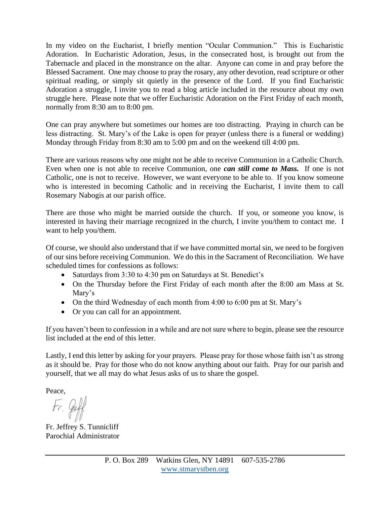In my video on the Eucharist, I briefly mention "Ocular Communion." This is Eucharistic Adoration. In Eucharistic Adoration, Jesus, in the consecrated host, is brought out from the Tabernacle and placed in the monstrance on the altar. Anyone can come in and pray before the Blessed Sacrament. One may choose to pray the rosary, any other devotion, read scripture or other spiritual reading, or simply sit quietly in the presence of the Lord. If you find Eucharistic Adoration a struggle, I invite you to read a blog article included in the resource about my own struggle here. Please note that we offer Eucharistic Adoration on the First Friday of each month, normally from 8:30 am to 8:00 pm.

One can pray anywhere but sometimes our homes are too distracting. Praying in church can be less distracting. St. Mary's of the Lake is open for prayer (unless there is a funeral or wedding) Monday through Friday from 8:30 am to 5:00 pm and on the weekend till 4:00 pm.

There are various reasons why one might not be able to receive Communion in a Catholic Church. Even when one is not able to receive Communion, one *can still come to Mass.* If one is not Catholic, one is not to receive. However, we want everyone to be able to. If you know someone who is interested in becoming Catholic and in receiving the Eucharist, I invite them to call Rosemary Nabogis at our parish office.

There are those who might be married outside the church. If you, or someone you know, is interested in having their marriage recognized in the church, I invite you/them to contact me. I want to help you/them.

Of course, we should also understand that if we have committed mortal sin, we need to be forgiven of our sins before receiving Communion. We do this in the Sacrament of Reconciliation. We have scheduled times for confessions as follows:

- Saturdays from 3:30 to 4:30 pm on Saturdays at St. Benedict's
- On the Thursday before the First Friday of each month after the 8:00 am Mass at St. Mary's
- On the third Wednesday of each month from 4:00 to 6:00 pm at St. Mary's
- Or you can call for an appointment.

If you haven't been to confession in a while and are not sure where to begin, please see the resource list included at the end of this letter.

Lastly, I end this letter by asking for your prayers. Please pray for those whose faith isn't as strong as it should be. Pray for those who do not know anything about our faith. Pray for our parish and yourself, that we all may do what Jesus asks of us to share the gospel.

Peace,

 $tr.$ le

Fr. Jeffrey S. Tunnicliff Parochial Administrator